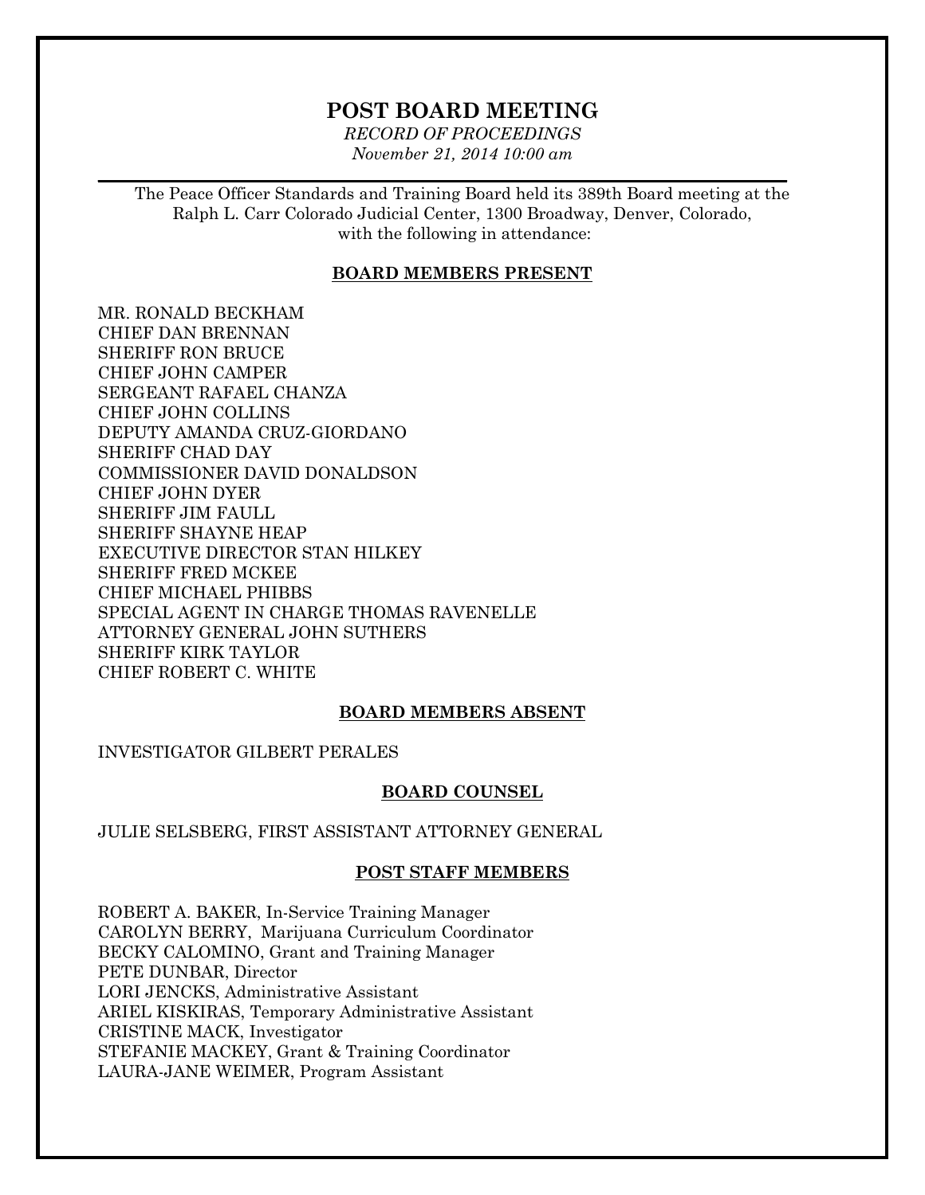# **POST BOARD MEETING**

*RECORD OF PROCEEDINGS November 21, 2014 10:00 am*

 $\mathcal{L}_\mathcal{L} = \mathcal{L}_\mathcal{L} = \mathcal{L}_\mathcal{L} = \mathcal{L}_\mathcal{L} = \mathcal{L}_\mathcal{L} = \mathcal{L}_\mathcal{L} = \mathcal{L}_\mathcal{L} = \mathcal{L}_\mathcal{L} = \mathcal{L}_\mathcal{L} = \mathcal{L}_\mathcal{L} = \mathcal{L}_\mathcal{L} = \mathcal{L}_\mathcal{L} = \mathcal{L}_\mathcal{L} = \mathcal{L}_\mathcal{L} = \mathcal{L}_\mathcal{L} = \mathcal{L}_\mathcal{L} = \mathcal{L}_\mathcal{L}$ 

The Peace Officer Standards and Training Board held its 389th Board meeting at the Ralph L. Carr Colorado Judicial Center, 1300 Broadway, Denver, Colorado, with the following in attendance:

#### **BOARD MEMBERS PRESENT**

MR. RONALD BECKHAM CHIEF DAN BRENNAN SHERIFF RON BRUCE CHIEF JOHN CAMPER SERGEANT RAFAEL CHANZA CHIEF JOHN COLLINS DEPUTY AMANDA CRUZ-GIORDANO SHERIFF CHAD DAY COMMISSIONER DAVID DONALDSON CHIEF JOHN DYER SHERIFF JIM FAULL SHERIFF SHAYNE HEAP EXECUTIVE DIRECTOR STAN HILKEY SHERIFF FRED MCKEE CHIEF MICHAEL PHIBBS SPECIAL AGENT IN CHARGE THOMAS RAVENELLE ATTORNEY GENERAL JOHN SUTHERS SHERIFF KIRK TAYLOR CHIEF ROBERT C. WHITE

# **BOARD MEMBERS ABSENT**

INVESTIGATOR GILBERT PERALES

#### **BOARD COUNSEL**

JULIE SELSBERG, FIRST ASSISTANT ATTORNEY GENERAL

#### **POST STAFF MEMBERS**

ROBERT A. BAKER, In-Service Training Manager CAROLYN BERRY, Marijuana Curriculum Coordinator BECKY CALOMINO, Grant and Training Manager PETE DUNBAR, Director LORI JENCKS, Administrative Assistant ARIEL KISKIRAS, Temporary Administrative Assistant CRISTINE MACK, Investigator STEFANIE MACKEY, Grant & Training Coordinator LAURA-JANE WEIMER, Program Assistant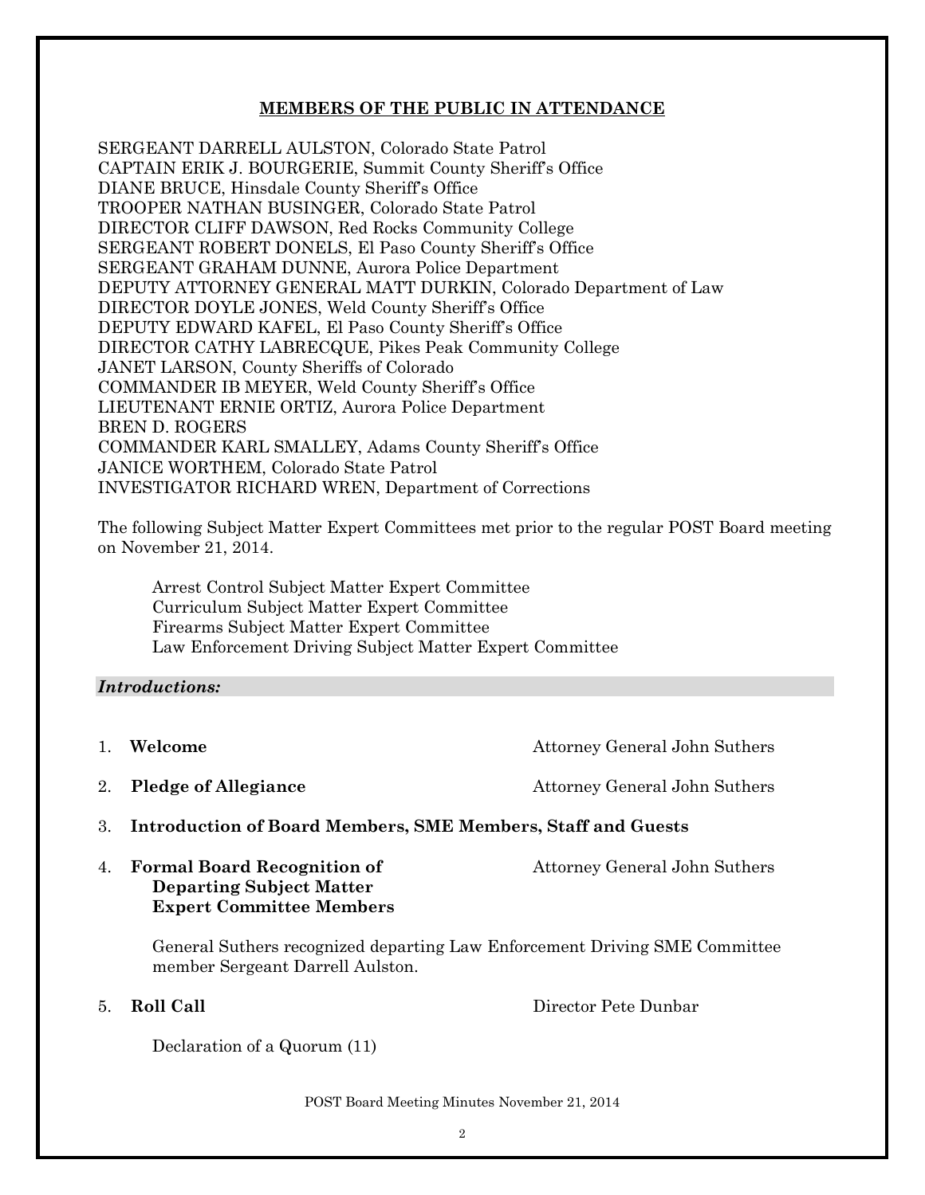# **MEMBERS OF THE PUBLIC IN ATTENDANCE**

SERGEANT DARRELL AULSTON, Colorado State Patrol CAPTAIN ERIK J. BOURGERIE, Summit County Sheriff's Office DIANE BRUCE, Hinsdale County Sheriff's Office TROOPER NATHAN BUSINGER, Colorado State Patrol DIRECTOR CLIFF DAWSON, Red Rocks Community College SERGEANT ROBERT DONELS, El Paso County Sheriff's Office SERGEANT GRAHAM DUNNE, Aurora Police Department DEPUTY ATTORNEY GENERAL MATT DURKIN, Colorado Department of Law DIRECTOR DOYLE JONES, Weld County Sheriff's Office DEPUTY EDWARD KAFEL, El Paso County Sheriff's Office DIRECTOR CATHY LABRECQUE, Pikes Peak Community College JANET LARSON, County Sheriffs of Colorado COMMANDER IB MEYER, Weld County Sheriff's Office LIEUTENANT ERNIE ORTIZ, Aurora Police Department BREN D. ROGERS COMMANDER KARL SMALLEY, Adams County Sheriff's Office JANICE WORTHEM, Colorado State Patrol INVESTIGATOR RICHARD WREN, Department of Corrections

The following Subject Matter Expert Committees met prior to the regular POST Board meeting on November 21, 2014.

Arrest Control Subject Matter Expert Committee Curriculum Subject Matter Expert Committee Firearms Subject Matter Expert Committee Law Enforcement Driving Subject Matter Expert Committee

## *Introductions:*

- 1. **Welcome** Attorney General John Suthers
- 

2. **Pledge of Allegiance** Attorney General John Suthers

- 3. **Introduction of Board Members, SME Members, Staff and Guests**
- 4. **Formal Board Recognition of Attorney General John Suthers Departing Subject Matter Expert Committee Members**

General Suthers recognized departing Law Enforcement Driving SME Committee member Sergeant Darrell Aulston.

5. **Roll Call** Director Pete Dunbar

Declaration of a Quorum (11)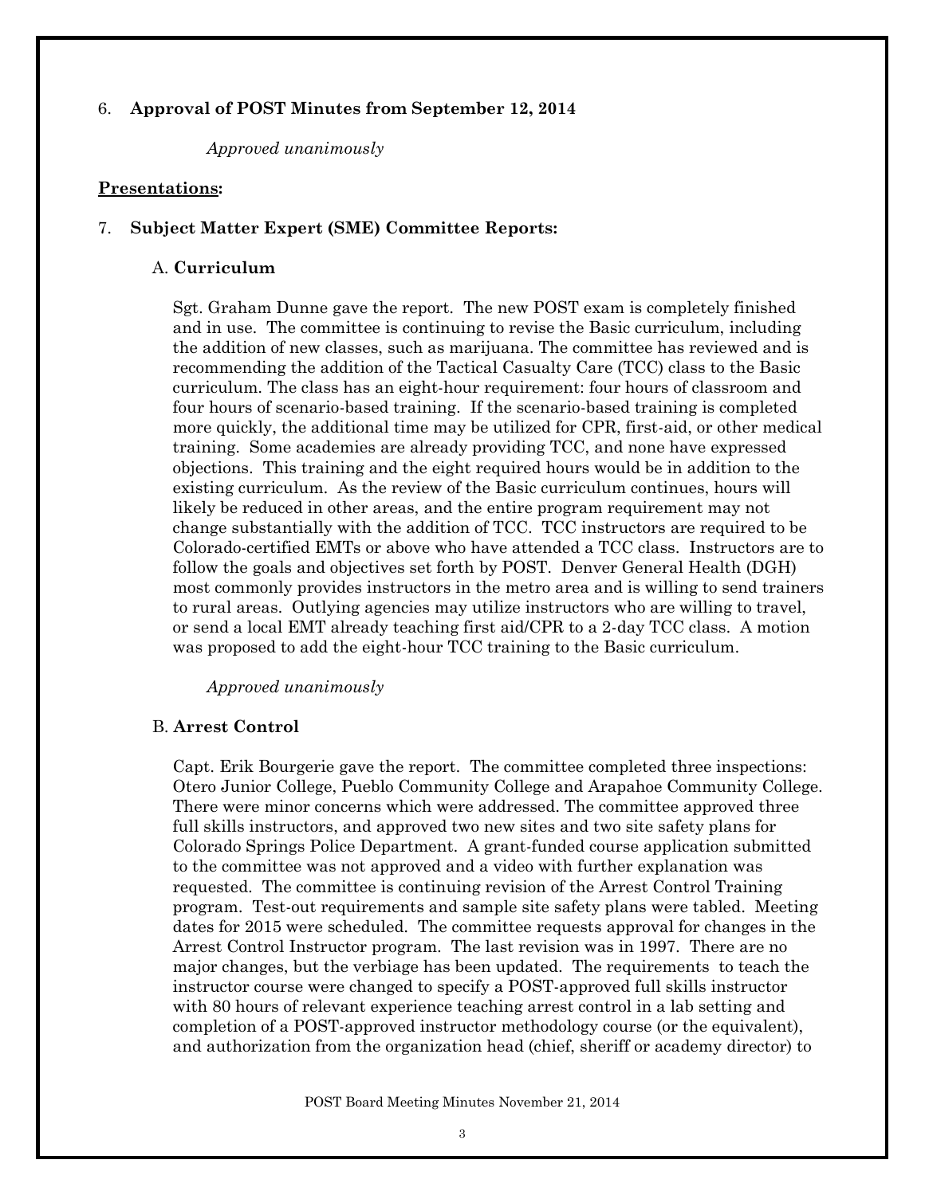# 6. **Approval of POST Minutes from September 12, 2014**

*Approved unanimously*

## **Presentations:**

## 7. **Subject Matter Expert (SME) Committee Reports:**

#### A. **Curriculum**

Sgt. Graham Dunne gave the report. The new POST exam is completely finished and in use. The committee is continuing to revise the Basic curriculum, including the addition of new classes, such as marijuana. The committee has reviewed and is recommending the addition of the Tactical Casualty Care (TCC) class to the Basic curriculum. The class has an eight-hour requirement: four hours of classroom and four hours of scenario-based training. If the scenario-based training is completed more quickly, the additional time may be utilized for CPR, first-aid, or other medical training. Some academies are already providing TCC, and none have expressed objections. This training and the eight required hours would be in addition to the existing curriculum. As the review of the Basic curriculum continues, hours will likely be reduced in other areas, and the entire program requirement may not change substantially with the addition of TCC. TCC instructors are required to be Colorado-certified EMTs or above who have attended a TCC class. Instructors are to follow the goals and objectives set forth by POST. Denver General Health (DGH) most commonly provides instructors in the metro area and is willing to send trainers to rural areas. Outlying agencies may utilize instructors who are willing to travel, or send a local EMT already teaching first aid/CPR to a 2-day TCC class. A motion was proposed to add the eight-hour TCC training to the Basic curriculum.

## *Approved unanimously*

## B. **Arrest Control**

Capt. Erik Bourgerie gave the report. The committee completed three inspections: Otero Junior College, Pueblo Community College and Arapahoe Community College. There were minor concerns which were addressed. The committee approved three full skills instructors, and approved two new sites and two site safety plans for Colorado Springs Police Department. A grant-funded course application submitted to the committee was not approved and a video with further explanation was requested. The committee is continuing revision of the Arrest Control Training program. Test-out requirements and sample site safety plans were tabled. Meeting dates for 2015 were scheduled. The committee requests approval for changes in the Arrest Control Instructor program. The last revision was in 1997. There are no major changes, but the verbiage has been updated. The requirements to teach the instructor course were changed to specify a POST-approved full skills instructor with 80 hours of relevant experience teaching arrest control in a lab setting and completion of a POST-approved instructor methodology course (or the equivalent), and authorization from the organization head (chief, sheriff or academy director) to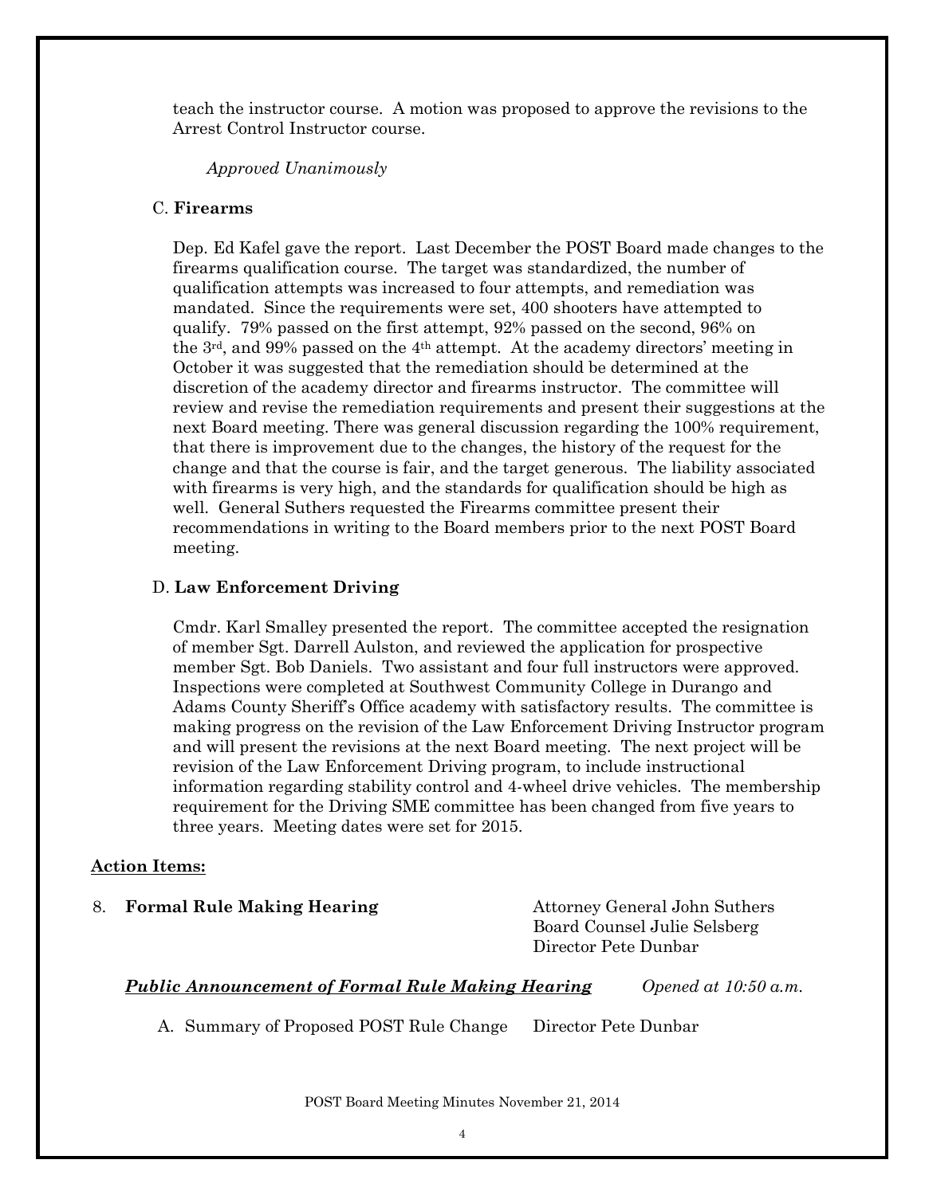teach the instructor course. A motion was proposed to approve the revisions to the Arrest Control Instructor course.

## *Approved Unanimously*

# C. **Firearms**

 Dep. Ed Kafel gave the report. Last December the POST Board made changes to the firearms qualification course. The target was standardized, the number of qualification attempts was increased to four attempts, and remediation was mandated. Since the requirements were set, 400 shooters have attempted to qualify. 79% passed on the first attempt, 92% passed on the second, 96% on the 3rd, and 99% passed on the 4th attempt. At the academy directors' meeting in October it was suggested that the remediation should be determined at the discretion of the academy director and firearms instructor. The committee will review and revise the remediation requirements and present their suggestions at the next Board meeting. There was general discussion regarding the 100% requirement, that there is improvement due to the changes, the history of the request for the change and that the course is fair, and the target generous. The liability associated with firearms is very high, and the standards for qualification should be high as well. General Suthers requested the Firearms committee present their recommendations in writing to the Board members prior to the next POST Board meeting.

#### D. **Law Enforcement Driving**

Cmdr. Karl Smalley presented the report. The committee accepted the resignation of member Sgt. Darrell Aulston, and reviewed the application for prospective member Sgt. Bob Daniels. Two assistant and four full instructors were approved. Inspections were completed at Southwest Community College in Durango and Adams County Sheriff's Office academy with satisfactory results. The committee is making progress on the revision of the Law Enforcement Driving Instructor program and will present the revisions at the next Board meeting. The next project will be revision of the Law Enforcement Driving program, to include instructional information regarding stability control and 4-wheel drive vehicles. The membership requirement for the Driving SME committee has been changed from five years to three years. Meeting dates were set for 2015.

# **Action Items:**

8. **Formal Rule Making Hearing Attorney General John Suthers** 

Board Counsel Julie Selsberg Director Pete Dunbar

# *Public Announcement of Formal Rule Making Hearing Opened at 10:50 a.m.*

A. Summary of Proposed POST Rule Change Director Pete Dunbar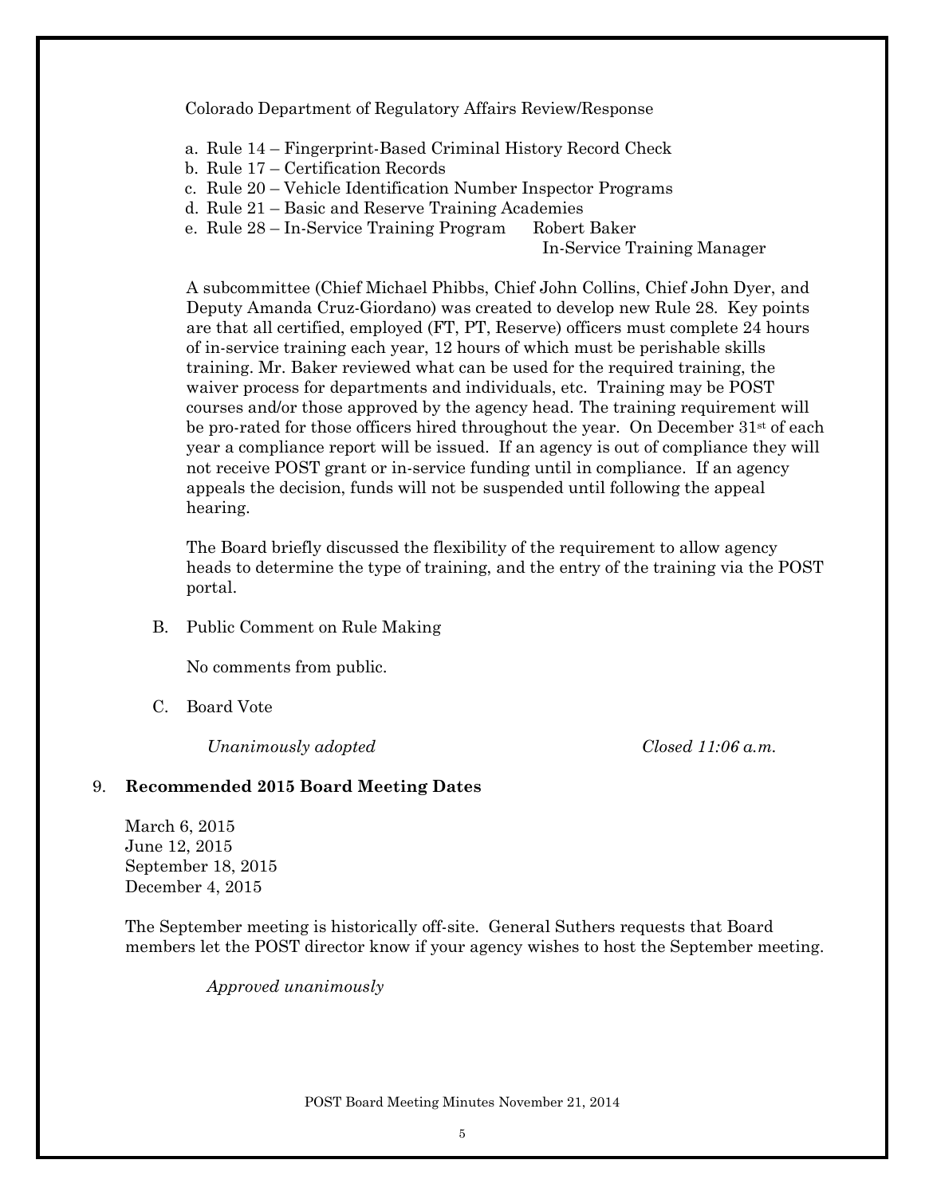Colorado Department of Regulatory Affairs Review/Response

- a. Rule 14 Fingerprint-Based Criminal History Record Check
- b. Rule 17 Certification Records
- c. Rule 20 Vehicle Identification Number Inspector Programs
- d. Rule 21 Basic and Reserve Training Academies
- e. Rule 28 In-Service Training Program Robert Baker

In-Service Training Manager

A subcommittee (Chief Michael Phibbs, Chief John Collins, Chief John Dyer, and Deputy Amanda Cruz-Giordano) was created to develop new Rule 28. Key points are that all certified, employed (FT, PT, Reserve) officers must complete 24 hours of in-service training each year, 12 hours of which must be perishable skills training. Mr. Baker reviewed what can be used for the required training, the waiver process for departments and individuals, etc. Training may be POST courses and/or those approved by the agency head. The training requirement will be pro-rated for those officers hired throughout the year. On December  $31<sup>st</sup>$  of each year a compliance report will be issued. If an agency is out of compliance they will not receive POST grant or in-service funding until in compliance. If an agency appeals the decision, funds will not be suspended until following the appeal hearing.

The Board briefly discussed the flexibility of the requirement to allow agency heads to determine the type of training, and the entry of the training via the POST portal.

B. Public Comment on Rule Making

No comments from public.

C. Board Vote

*Unanimously adopted Closed 11:06 a.m.*

#### 9. **Recommended 2015 Board Meeting Dates**

March 6, 2015 June 12, 2015 September 18, 2015 December 4, 2015

The September meeting is historically off-site. General Suthers requests that Board members let the POST director know if your agency wishes to host the September meeting.

*Approved unanimously*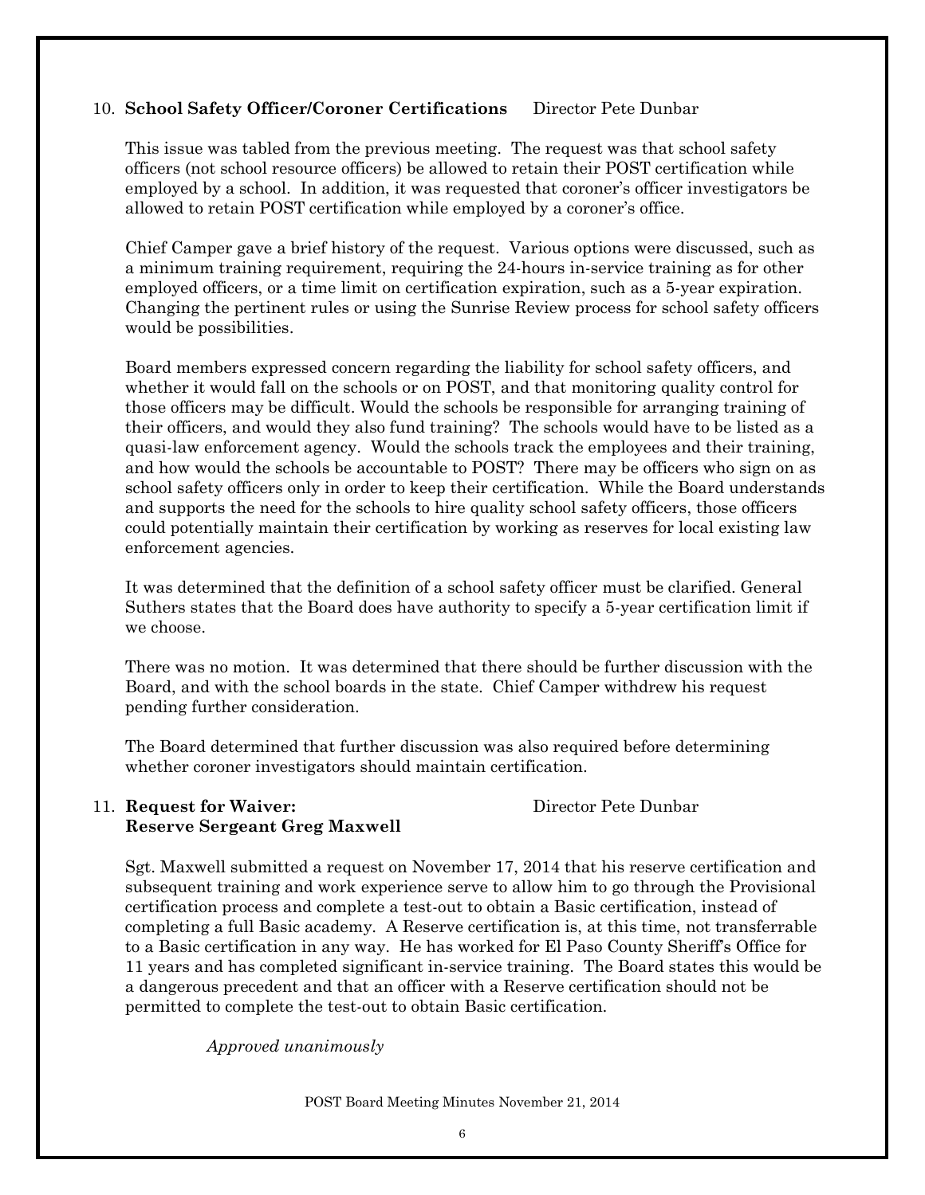# 10. **School Safety Officer/Coroner Certifications** Director Pete Dunbar

This issue was tabled from the previous meeting. The request was that school safety officers (not school resource officers) be allowed to retain their POST certification while employed by a school. In addition, it was requested that coroner's officer investigators be allowed to retain POST certification while employed by a coroner's office.

Chief Camper gave a brief history of the request. Various options were discussed, such as a minimum training requirement, requiring the 24-hours in-service training as for other employed officers, or a time limit on certification expiration, such as a 5-year expiration. Changing the pertinent rules or using the Sunrise Review process for school safety officers would be possibilities.

Board members expressed concern regarding the liability for school safety officers, and whether it would fall on the schools or on POST, and that monitoring quality control for those officers may be difficult. Would the schools be responsible for arranging training of their officers, and would they also fund training? The schools would have to be listed as a quasi-law enforcement agency. Would the schools track the employees and their training, and how would the schools be accountable to POST? There may be officers who sign on as school safety officers only in order to keep their certification. While the Board understands and supports the need for the schools to hire quality school safety officers, those officers could potentially maintain their certification by working as reserves for local existing law enforcement agencies.

It was determined that the definition of a school safety officer must be clarified. General Suthers states that the Board does have authority to specify a 5-year certification limit if we choose.

There was no motion. It was determined that there should be further discussion with the Board, and with the school boards in the state. Chief Camper withdrew his request pending further consideration.

The Board determined that further discussion was also required before determining whether coroner investigators should maintain certification.

# 11. **Request for Waiver:** Director Pete Dunbar **Reserve Sergeant Greg Maxwell**

Sgt. Maxwell submitted a request on November 17, 2014 that his reserve certification and subsequent training and work experience serve to allow him to go through the Provisional certification process and complete a test-out to obtain a Basic certification, instead of completing a full Basic academy. A Reserve certification is, at this time, not transferrable to a Basic certification in any way. He has worked for El Paso County Sheriff's Office for 11 years and has completed significant in-service training. The Board states this would be a dangerous precedent and that an officer with a Reserve certification should not be permitted to complete the test-out to obtain Basic certification.

*Approved unanimously*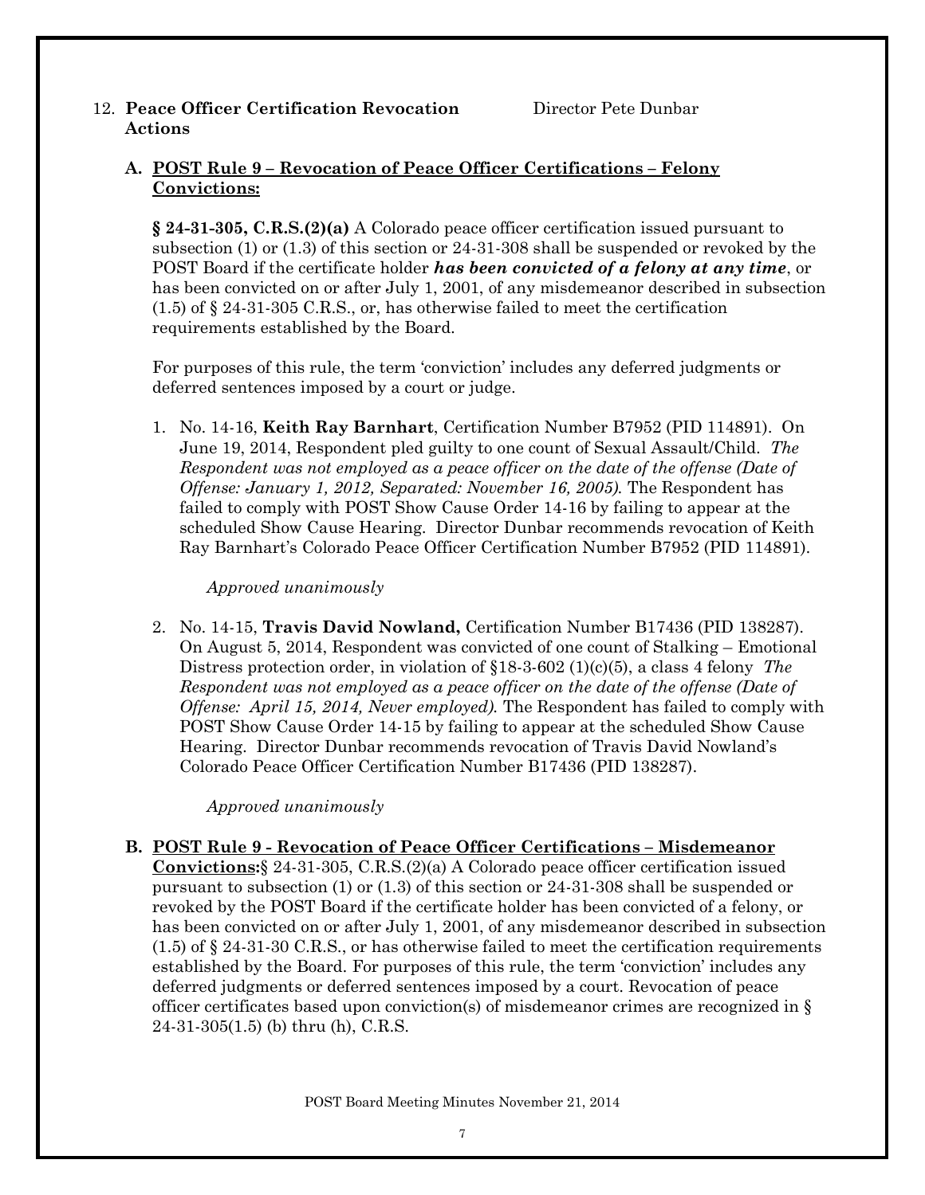# 12. **Peace Officer Certification Revocation** Director Pete Dunbar **Actions**

# **A. POST Rule 9 – Revocation of Peace Officer Certifications – Felony Convictions:**

**§ 24-31-305, C.R.S.(2)(a)** A Colorado peace officer certification issued pursuant to subsection (1) or (1.3) of this section or 24-31-308 shall be suspended or revoked by the POST Board if the certificate holder *has been convicted of a felony at any time*, or has been convicted on or after July 1, 2001, of any misdemeanor described in subsection (1.5) of § 24-31-305 C.R.S., or, has otherwise failed to meet the certification requirements established by the Board.

For purposes of this rule, the term 'conviction' includes any deferred judgments or deferred sentences imposed by a court or judge.

1. No. 14-16, **Keith Ray Barnhart**, Certification Number B7952 (PID 114891). On June 19, 2014, Respondent pled guilty to one count of Sexual Assault/Child. *The Respondent was not employed as a peace officer on the date of the offense (Date of Offense: January 1, 2012, Separated: November 16, 2005).* The Respondent has failed to comply with POST Show Cause Order 14-16 by failing to appear at the scheduled Show Cause Hearing. Director Dunbar recommends revocation of Keith Ray Barnhart's Colorado Peace Officer Certification Number B7952 (PID 114891).

# *Approved unanimously*

2. No. 14-15, **Travis David Nowland,** Certification Number B17436 (PID 138287). On August 5, 2014, Respondent was convicted of one count of Stalking – Emotional Distress protection order, in violation of §18-3-602 (1)(c)(5), a class 4 felony *The Respondent was not employed as a peace officer on the date of the offense (Date of Offense: April 15, 2014, Never employed).* The Respondent has failed to comply with POST Show Cause Order 14-15 by failing to appear at the scheduled Show Cause Hearing. Director Dunbar recommends revocation of Travis David Nowland's Colorado Peace Officer Certification Number B17436 (PID 138287).

# *Approved unanimously*

**B. POST Rule 9 - Revocation of Peace Officer Certifications – Misdemeanor Convictions:**§ 24-31-305, C.R.S.(2)(a) A Colorado peace officer certification issued pursuant to subsection (1) or (1.3) of this section or 24-31-308 shall be suspended or revoked by the POST Board if the certificate holder has been convicted of a felony, or has been convicted on or after July 1, 2001, of any misdemeanor described in subsection  $(1.5)$  of  $\S$  24-31-30 C.R.S., or has otherwise failed to meet the certification requirements established by the Board. For purposes of this rule, the term 'conviction' includes any deferred judgments or deferred sentences imposed by a court. Revocation of peace officer certificates based upon conviction(s) of misdemeanor crimes are recognized in §  $24-31-305(1.5)$  (b) thru (h), C.R.S.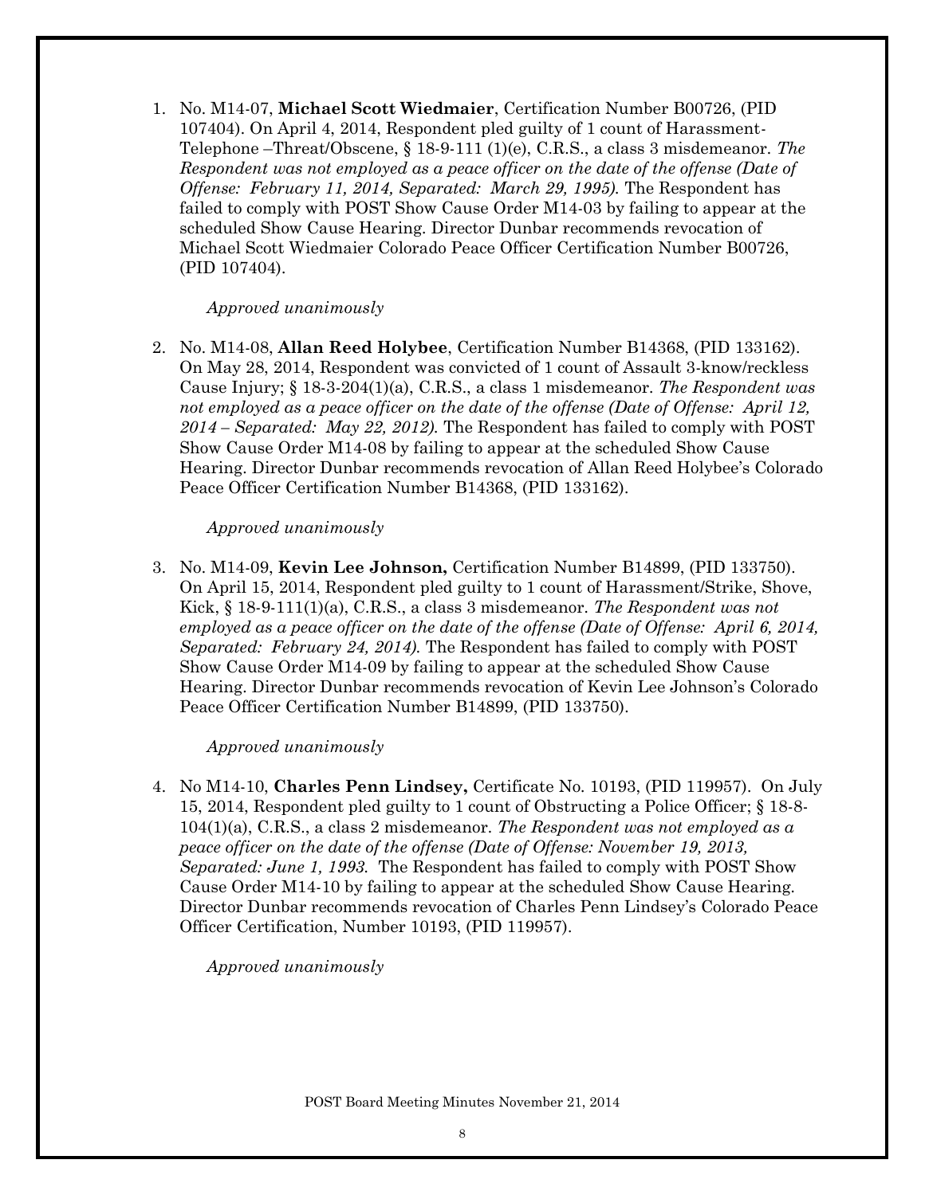1. No. M14-07, **Michael Scott Wiedmaier**, Certification Number B00726, (PID 107404). On April 4, 2014, Respondent pled guilty of 1 count of Harassment-Telephone –Threat/Obscene, § 18-9-111 (1)(e), C.R.S., a class 3 misdemeanor. *The Respondent was not employed as a peace officer on the date of the offense (Date of Offense: February 11, 2014, Separated: March 29, 1995).* The Respondent has failed to comply with POST Show Cause Order M14-03 by failing to appear at the scheduled Show Cause Hearing. Director Dunbar recommends revocation of Michael Scott Wiedmaier Colorado Peace Officer Certification Number B00726, (PID 107404).

#### *Approved unanimously*

2. No. M14-08, **Allan Reed Holybee**, Certification Number B14368, (PID 133162). On May 28, 2014, Respondent was convicted of 1 count of Assault 3-know/reckless Cause Injury; § 18-3-204(1)(a), C.R.S., a class 1 misdemeanor. *The Respondent was not employed as a peace officer on the date of the offense (Date of Offense: April 12, 2014 – Separated: May 22, 2012).* The Respondent has failed to comply with POST Show Cause Order M14-08 by failing to appear at the scheduled Show Cause Hearing. Director Dunbar recommends revocation of Allan Reed Holybee's Colorado Peace Officer Certification Number B14368, (PID 133162).

#### *Approved unanimously*

3. No. M14-09, **Kevin Lee Johnson,** Certification Number B14899, (PID 133750). On April 15, 2014, Respondent pled guilty to 1 count of Harassment/Strike, Shove, Kick, § 18-9-111(1)(a), C.R.S., a class 3 misdemeanor. *The Respondent was not employed as a peace officer on the date of the offense (Date of Offense: April 6, 2014, Separated: February 24, 2014).* The Respondent has failed to comply with POST Show Cause Order M14-09 by failing to appear at the scheduled Show Cause Hearing. Director Dunbar recommends revocation of Kevin Lee Johnson's Colorado Peace Officer Certification Number B14899, (PID 133750).

## *Approved unanimously*

4. No M14-10, **Charles Penn Lindsey,** Certificate No. 10193, (PID 119957). On July 15, 2014, Respondent pled guilty to 1 count of Obstructing a Police Officer; § 18-8- 104(1)(a), C.R.S., a class 2 misdemeanor. *The Respondent was not employed as a peace officer on the date of the offense (Date of Offense: November 19, 2013, Separated: June 1, 1993.* The Respondent has failed to comply with POST Show Cause Order M14-10 by failing to appear at the scheduled Show Cause Hearing. Director Dunbar recommends revocation of Charles Penn Lindsey's Colorado Peace Officer Certification, Number 10193, (PID 119957).

*Approved unanimously*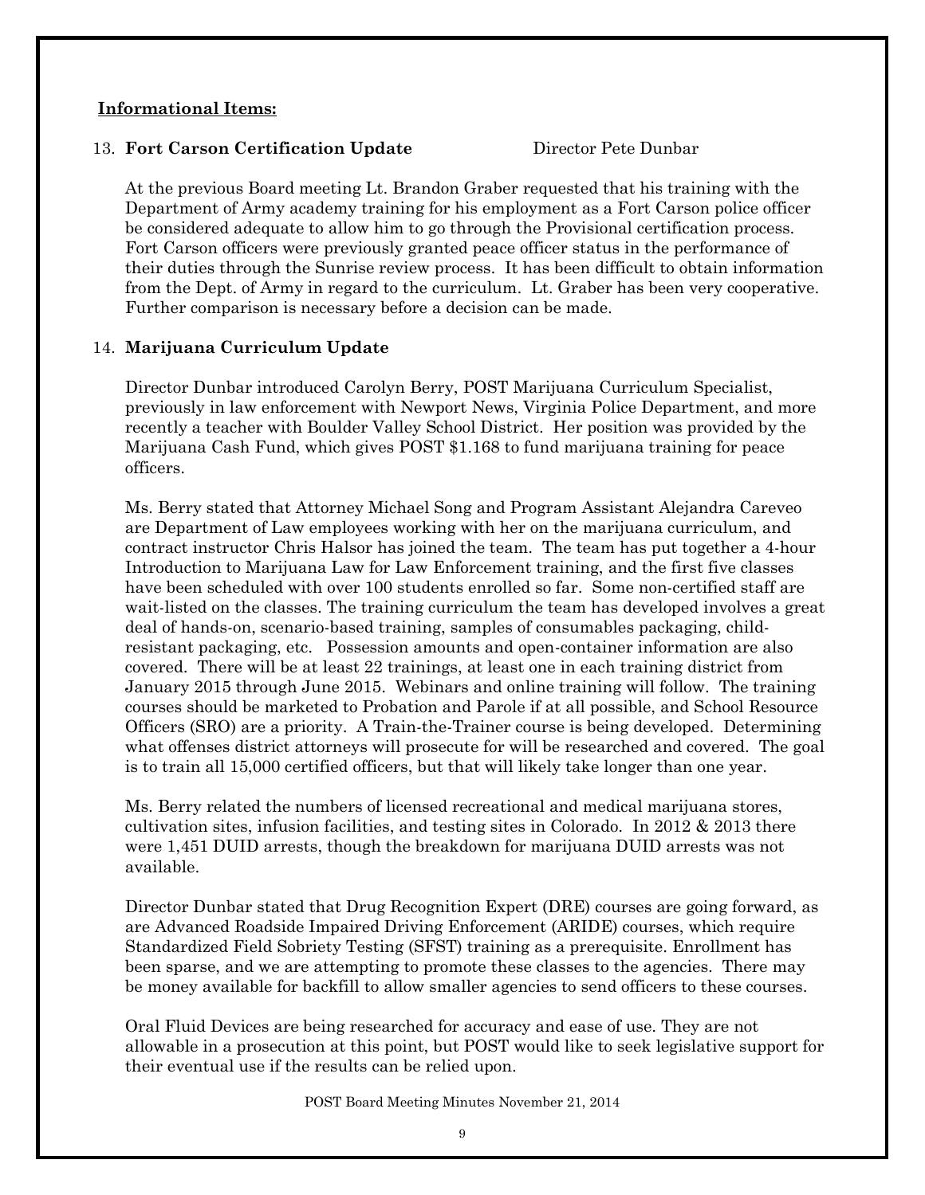# **Informational Items:**

# 13. **Fort Carson Certification Update** Director Pete Dunbar

At the previous Board meeting Lt. Brandon Graber requested that his training with the Department of Army academy training for his employment as a Fort Carson police officer be considered adequate to allow him to go through the Provisional certification process. Fort Carson officers were previously granted peace officer status in the performance of their duties through the Sunrise review process. It has been difficult to obtain information from the Dept. of Army in regard to the curriculum. Lt. Graber has been very cooperative. Further comparison is necessary before a decision can be made.

# 14. **Marijuana Curriculum Update**

Director Dunbar introduced Carolyn Berry, POST Marijuana Curriculum Specialist, previously in law enforcement with Newport News, Virginia Police Department, and more recently a teacher with Boulder Valley School District. Her position was provided by the Marijuana Cash Fund, which gives POST \$1.168 to fund marijuana training for peace officers.

Ms. Berry stated that Attorney Michael Song and Program Assistant Alejandra Careveo are Department of Law employees working with her on the marijuana curriculum, and contract instructor Chris Halsor has joined the team. The team has put together a 4-hour Introduction to Marijuana Law for Law Enforcement training, and the first five classes have been scheduled with over 100 students enrolled so far. Some non-certified staff are wait-listed on the classes. The training curriculum the team has developed involves a great deal of hands-on, scenario-based training, samples of consumables packaging, childresistant packaging, etc. Possession amounts and open-container information are also covered. There will be at least 22 trainings, at least one in each training district from January 2015 through June 2015. Webinars and online training will follow. The training courses should be marketed to Probation and Parole if at all possible, and School Resource Officers (SRO) are a priority. A Train-the-Trainer course is being developed. Determining what offenses district attorneys will prosecute for will be researched and covered. The goal is to train all 15,000 certified officers, but that will likely take longer than one year.

Ms. Berry related the numbers of licensed recreational and medical marijuana stores, cultivation sites, infusion facilities, and testing sites in Colorado. In 2012 & 2013 there were 1,451 DUID arrests, though the breakdown for marijuana DUID arrests was not available.

Director Dunbar stated that Drug Recognition Expert (DRE) courses are going forward, as are Advanced Roadside Impaired Driving Enforcement (ARIDE) courses, which require Standardized Field Sobriety Testing (SFST) training as a prerequisite. Enrollment has been sparse, and we are attempting to promote these classes to the agencies. There may be money available for backfill to allow smaller agencies to send officers to these courses.

Oral Fluid Devices are being researched for accuracy and ease of use. They are not allowable in a prosecution at this point, but POST would like to seek legislative support for their eventual use if the results can be relied upon.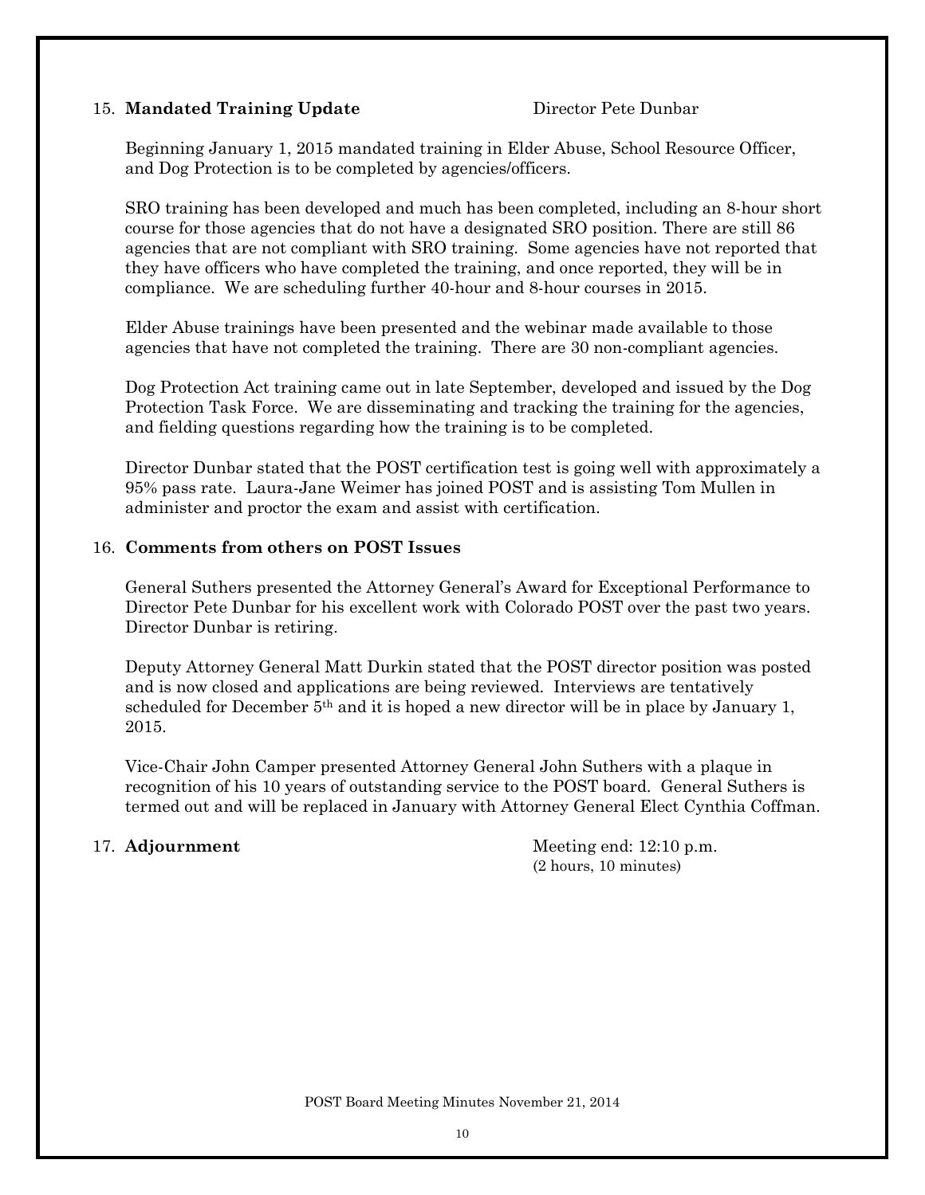# 15. **Mandated Training Update** Director Pete Dunbar

Beginning January 1, 2015 mandated training in Elder Abuse, School Resource Officer, and Dog Protection is to be completed by agencies/officers.

SRO training has been developed and much has been completed, including an 8-hour short course for those agencies that do not have a designated SRO position. There are still 86 agencies that are not compliant with SRO training. Some agencies have not reported that they have officers who have completed the training, and once reported, they will be in compliance. We are scheduling further 40-hour and 8-hour courses in 2015.

Elder Abuse trainings have been presented and the webinar made available to those agencies that have not completed the training. There are 30 non-compliant agencies.

Dog Protection Act training came out in late September, developed and issued by the Dog Protection Task Force. We are disseminating and tracking the training for the agencies, and fielding questions regarding how the training is to be completed.

Director Dunbar stated that the POST certification test is going well with approximately a 95% pass rate. Laura-Jane Weimer has joined POST and is assisting Tom Mullen in administer and proctor the exam and assist with certification.

# 16. **Comments from others on POST Issues**

General Suthers presented the Attorney General's Award for Exceptional Performance to Director Pete Dunbar for his excellent work with Colorado POST over the past two years. Director Dunbar is retiring.

Deputy Attorney General Matt Durkin stated that the POST director position was posted and is now closed and applications are being reviewed. Interviews are tentatively scheduled for December 5<sup>th</sup> and it is hoped a new director will be in place by January 1, 2015.

Vice-Chair John Camper presented Attorney General John Suthers with a plaque in recognition of his 10 years of outstanding service to the POST board. General Suthers is termed out and will be replaced in January with Attorney General Elect Cynthia Coffman.

17. **Adjournment** Meeting end: 12:10 p.m. (2 hours, 10 minutes)